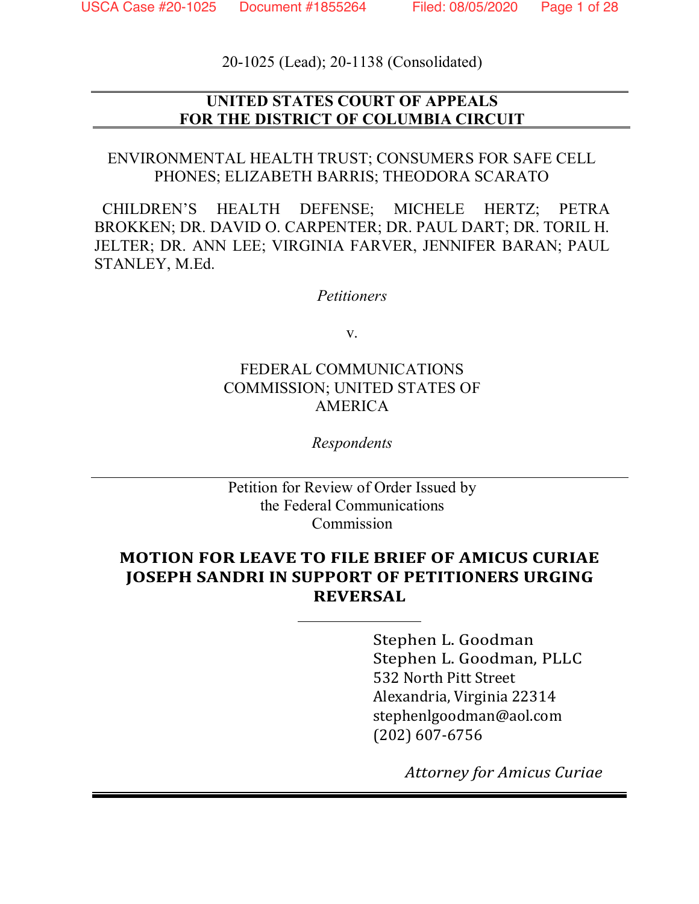20-1025 (Lead); 20-1138 (Consolidated)

### **UNITED STATES COURT OF APPEALS FOR THE DISTRICT OF COLUMBIA CIRCUIT**

ENVIRONMENTAL HEALTH TRUST; CONSUMERS FOR SAFE CELL PHONES; ELIZABETH BARRIS; THEODORA SCARATO

CHILDREN'S HEALTH DEFENSE; MICHELE HERTZ; PETRA BROKKEN; DR. DAVID O. CARPENTER; DR. PAUL DART; DR. TORIL H. JELTER; DR. ANN LEE; VIRGINIA FARVER, JENNIFER BARAN; PAUL STANLEY, M.Ed.

*Petitioners*

v.

### FEDERAL COMMUNICATIONS COMMISSION; UNITED STATES OF AMERICA

*Respondents*

Petition for Review of Order Issued by the Federal Communications Commission

### **MOTION FOR LEAVE TO FILE BRIEF OF AMICUS CURIAE JOSEPH SANDRI IN SUPPORT OF PETITIONERS URGING REVERSAL**

Stephen L. Goodman Stephen L. Goodman, PLLC 532 North Pitt Street Alexandria, Virginia 22314 stephenlgoodman@aol.com (202) 607-6756

*Attorney for Amicus Curiae*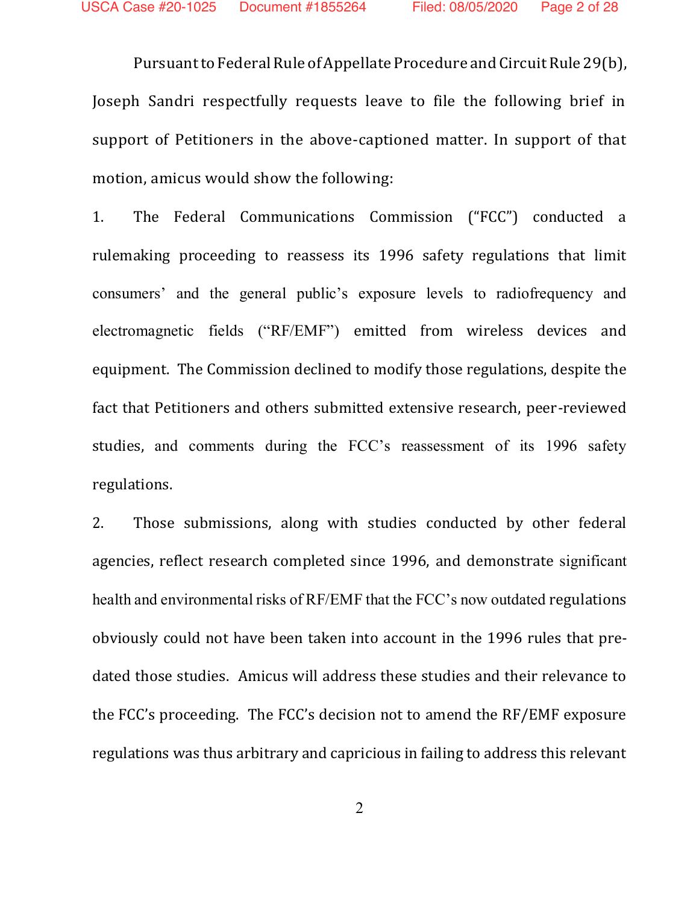Pursuant to Federal Rule of Appellate Procedure and Circuit Rule 29(b), Joseph Sandri respectfully requests leave to file the following brief in support of Petitioners in the above-captioned matter. In support of that motion, amicus would show the following:

1. The Federal Communications Commission ("FCC") conducted a rulemaking proceeding to reassess its 1996 safety regulations that limit consumers' and the general public's exposure levels to radiofrequency and electromagnetic fields ("RF/EMF") emitted from wireless devices and equipment. The Commission declined to modify those regulations, despite the fact that Petitioners and others submitted extensive research, peer-reviewed studies, and comments during the FCC's reassessment of its 1996 safety regulations.

2. Those submissions, along with studies conducted by other federal agencies, reflect research completed since 1996, and demonstrate significant health and environmental risks of RF/EMF that the FCC's now outdated regulations obviously could not have been taken into account in the 1996 rules that predated those studies. Amicus will address these studies and their relevance to the FCC's proceeding. The FCC's decision not to amend the RF/EMF exposure regulations was thus arbitrary and capricious in failing to address this relevant

2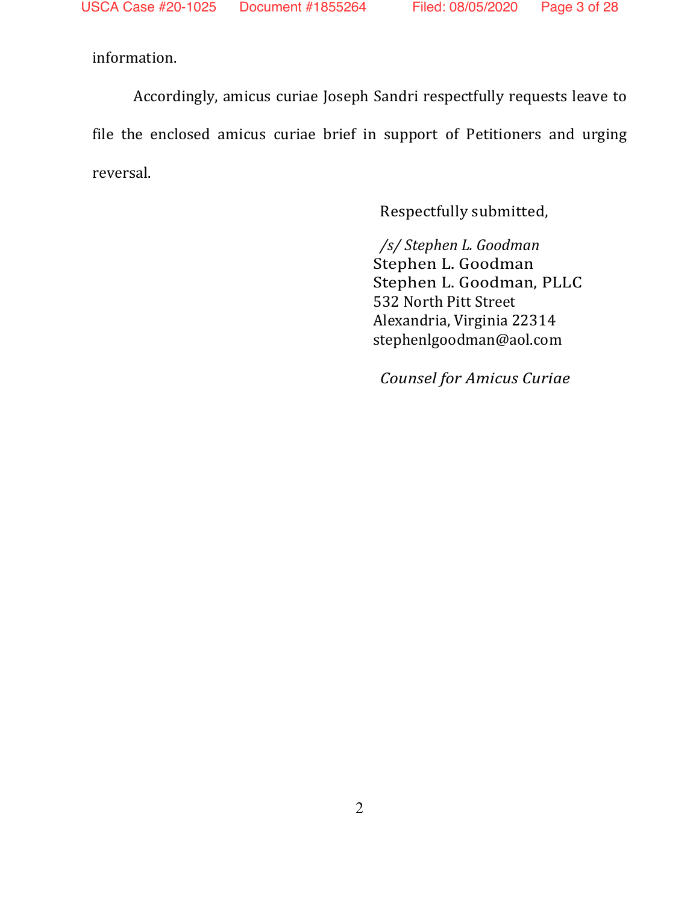information.

Accordingly, amicus curiae Joseph Sandri respectfully requests leave to file the enclosed amicus curiae brief in support of Petitioners and urging reversal.

Respectfully submitted,

*/s/ Stephen L. Goodman* Stephen L. Goodman Stephen L. Goodman, PLLC 532 North Pitt Street Alexandria, Virginia 22314 stephenlgoodman@aol.com

*Counsel for Amicus Curiae*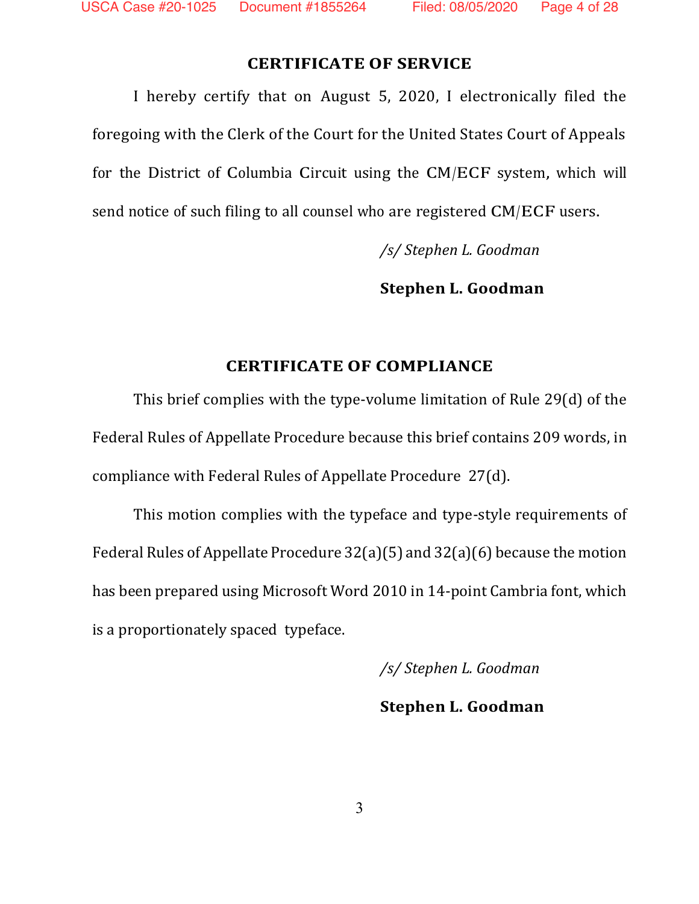#### **CERTIFICATE OF SERVICE**

I hereby certify that on August 5, 2020, I electronically filed the foregoing with the Clerk of the Court for the United States Court of Appeals for the District of Columbia Circuit using the CM/ECF system, which will send notice of such filing to all counsel who are registered CM/ECF users.

*/s/ Stephen L. Goodman*

**Stephen L. Goodman**

#### **CERTIFICATE OF COMPLIANCE**

This brief complies with the type-volume limitation of Rule 29(d) of the Federal Rules of Appellate Procedure because this brief contains 209 words, in compliance with Federal Rules of Appellate Procedure 27(d).

This motion complies with the typeface and type-style requirements of Federal Rules of Appellate Procedure 32(a)(5) and 32(a)(6) because the motion has been prepared using Microsoft Word 2010 in 14-point Cambria font, which is a proportionately spaced typeface.

*/s/ Stephen L. Goodman*

**Stephen L. Goodman**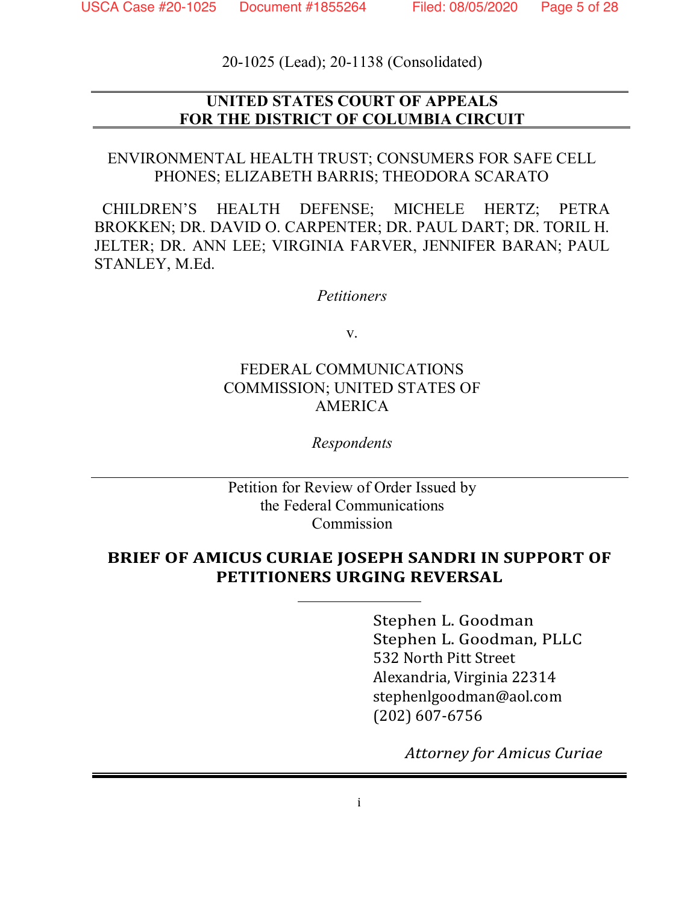20-1025 (Lead); 20-1138 (Consolidated)

### **UNITED STATES COURT OF APPEALS FOR THE DISTRICT OF COLUMBIA CIRCUIT**

ENVIRONMENTAL HEALTH TRUST; CONSUMERS FOR SAFE CELL PHONES; ELIZABETH BARRIS; THEODORA SCARATO

CHILDREN'S HEALTH DEFENSE; MICHELE HERTZ; PETRA BROKKEN; DR. DAVID O. CARPENTER; DR. PAUL DART; DR. TORIL H. JELTER; DR. ANN LEE; VIRGINIA FARVER, JENNIFER BARAN; PAUL STANLEY, M.Ed.

*Petitioners*

v.

### FEDERAL COMMUNICATIONS COMMISSION; UNITED STATES OF AMERICA

*Respondents*

Petition for Review of Order Issued by the Federal Communications Commission

### **BRIEF OF AMICUS CURIAE JOSEPH SANDRI IN SUPPORT OF PETITIONERS URGING REVERSAL**

Stephen L. Goodman Stephen L. Goodman, PLLC 532 North Pitt Street Alexandria, Virginia 22314 stephenlgoodman@aol.com (202) 607-6756

*Attorney for Amicus Curiae*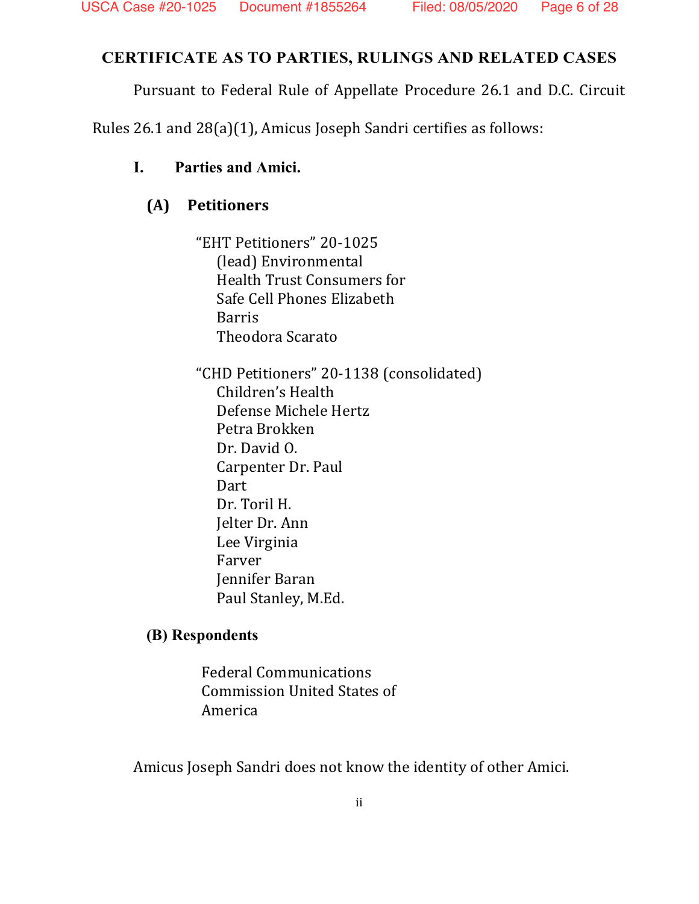# **CERTIFICATE AS TO PARTIES, RULINGS AND RELATED CASES**

Pursuant to Federal Rule of Appellate Procedure 26.1 and D.C. Circuit

Rules 26.1 and 28(a)(1), Amicus Joseph Sandri certifies as follows:

## **I. Parties and Amici.**

# **(A) Petitioners**

"EHT Petitioners" 20-1025 (lead) Environmental Health Trust Consumers for Safe Cell Phones Elizabeth Barris Theodora Scarato

"CHD Petitioners" 20-1138 (consolidated) Children's Health Defense Michele Hertz Petra Brokken Dr. David O. Carpenter Dr. Paul Dart Dr. Toril H. Jelter Dr. Ann Lee Virginia Farver Jennifer Baran Paul Stanley, M.Ed.

# **(B) Respondents**

Federal Communications Commission United States of America

Amicus Joseph Sandri does not know the identity of other Amici.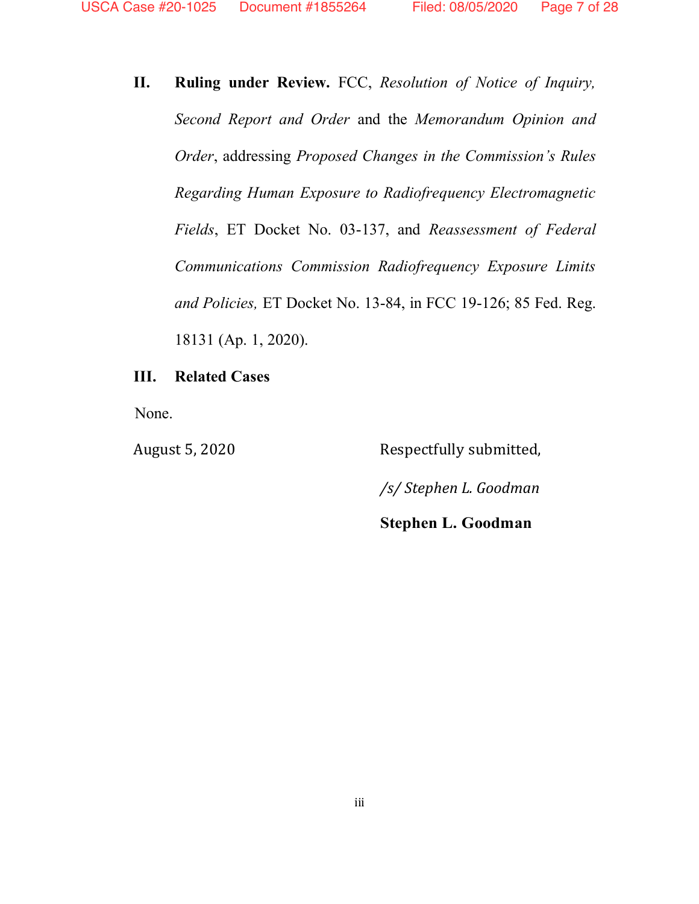**II. Ruling under Review.** FCC, *Resolution of Notice of Inquiry, Second Report and Order* and the *Memorandum Opinion and Order*, addressing *Proposed Changes in the Commission's Rules Regarding Human Exposure to Radiofrequency Electromagnetic Fields*, ET Docket No. 03-137, and *Reassessment of Federal Communications Commission Radiofrequency Exposure Limits and Policies,* ET Docket No. 13-84, in FCC 19-126; 85 Fed. Reg. 18131 (Ap. 1, 2020).

#### **III. Related Cases**

None.

August 5, 2020 Respectfully submitted, */s/ Stephen L. Goodman* **Stephen L. Goodman**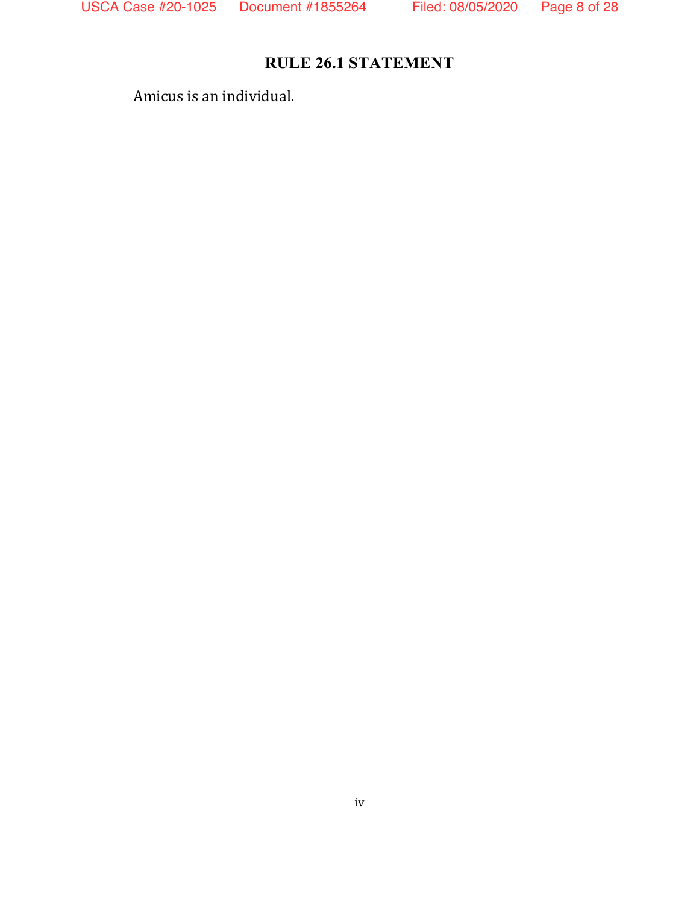# **RULE 26.1 STATEMENT**

Amicus is an individual.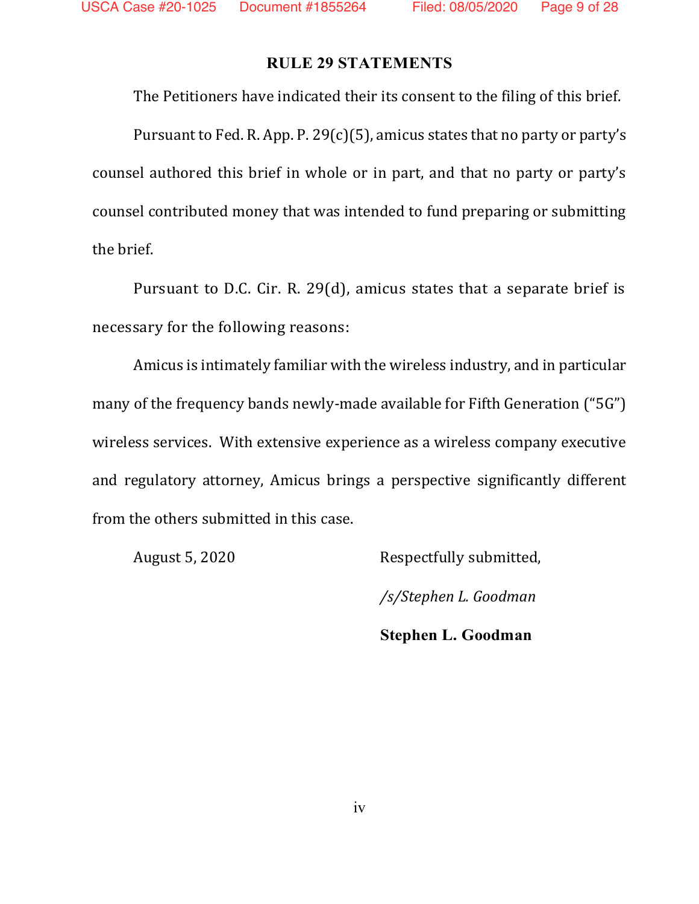### **RULE 29 STATEMENTS**

The Petitioners have indicated their its consent to the filing of this brief.

Pursuant to Fed. R. App. P. 29(c)(5), amicus states that no party or party's counsel authored this brief in whole or in part, and that no party or party's counsel contributed money that was intended to fund preparing or submitting the brief.

Pursuant to D.C. Cir. R. 29(d), amicus states that a separate brief is necessary for the following reasons:

Amicus is intimately familiar with the wireless industry, and in particular many of the frequency bands newly-made available for Fifth Generation ("5G") wireless services. With extensive experience as a wireless company executive and regulatory attorney, Amicus brings a perspective significantly different from the others submitted in this case.

August 5, 2020 Respectfully submitted,

*/s/Stephen L. Goodman*

**Stephen L. Goodman**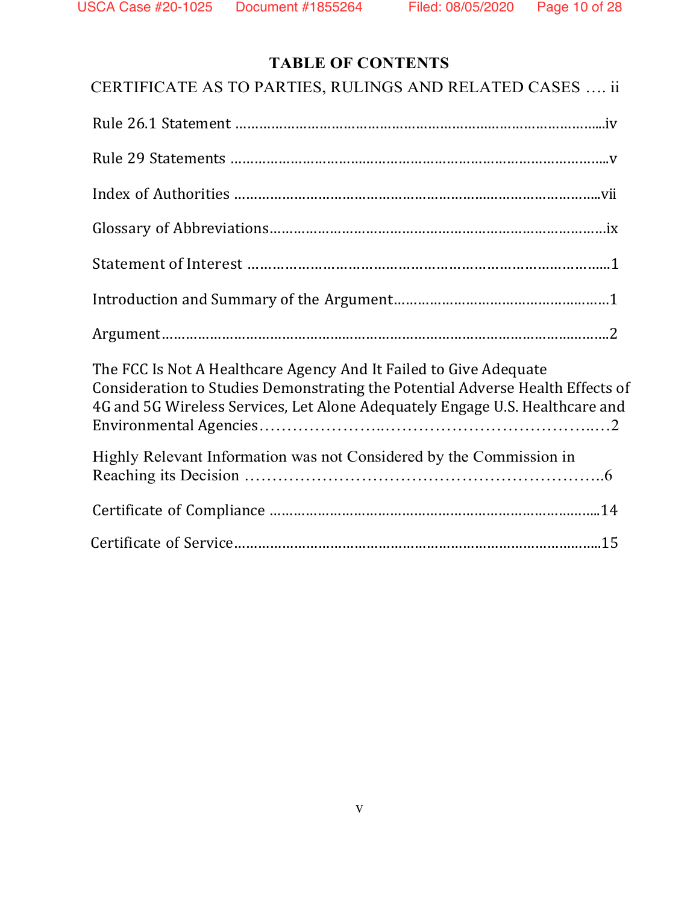# **TABLE OF CONTENTS**

| CERTIFICATE AS TO PARTIES, RULINGS AND RELATED CASES  ii                                                                                                                                                                            |
|-------------------------------------------------------------------------------------------------------------------------------------------------------------------------------------------------------------------------------------|
|                                                                                                                                                                                                                                     |
|                                                                                                                                                                                                                                     |
|                                                                                                                                                                                                                                     |
|                                                                                                                                                                                                                                     |
|                                                                                                                                                                                                                                     |
|                                                                                                                                                                                                                                     |
|                                                                                                                                                                                                                                     |
| The FCC Is Not A Healthcare Agency And It Failed to Give Adequate<br>Consideration to Studies Demonstrating the Potential Adverse Health Effects of<br>4G and 5G Wireless Services, Let Alone Adequately Engage U.S. Healthcare and |
| Highly Relevant Information was not Considered by the Commission in                                                                                                                                                                 |
|                                                                                                                                                                                                                                     |
|                                                                                                                                                                                                                                     |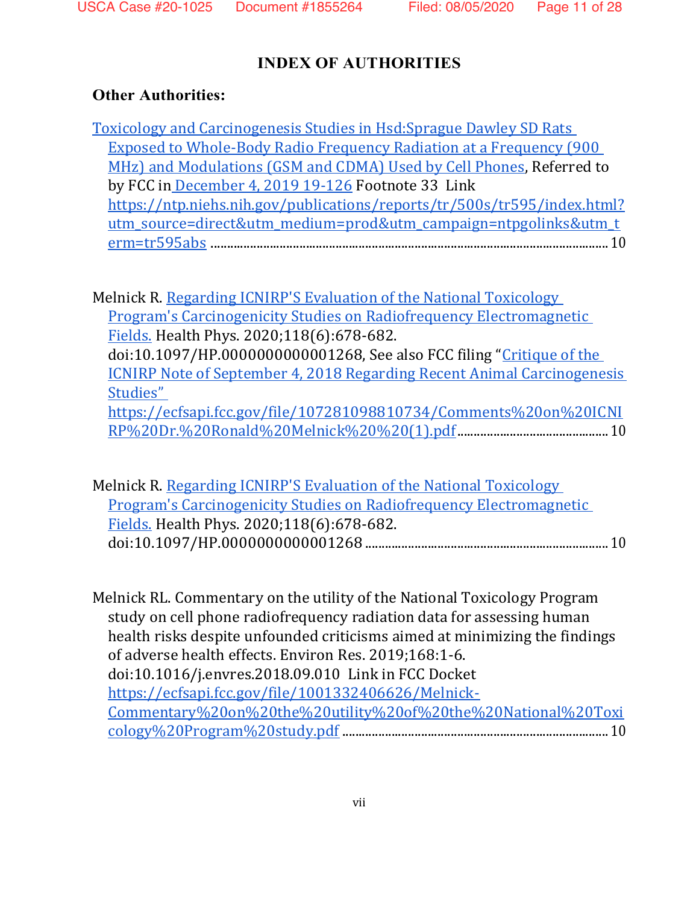## **INDEX OF AUTHORITIES**

### **Other Authorities:**

[Toxicology and Carcinogenesis Studies in Hsd:Sprague Dawley SD Rats](https://ntp.niehs.nih.gov/publications/reports/tr/500s/tr595/index.html?utm_source=direct&utm_medium=prod&utm_campaign=ntpgolinks&utm_term=tr595abs)  [Exposed to Whole-Body Radio Frequency Radiation at a Frequency \(900](https://ntp.niehs.nih.gov/publications/reports/tr/500s/tr595/index.html?utm_source=direct&utm_medium=prod&utm_campaign=ntpgolinks&utm_term=tr595abs)  [MHz\) and Modulations \(GSM and CDMA\) Used by Cell Phones,](https://ntp.niehs.nih.gov/publications/reports/tr/500s/tr595/index.html?utm_source=direct&utm_medium=prod&utm_campaign=ntpgolinks&utm_term=tr595abs) Referred to by FCC in [December 4, 2019 19-126](https://docs.fcc.gov/public/attachments/FCC-19-126A1.pdf) Footnote 33 Link [https://ntp.niehs.nih.gov/publications/reports/tr/500s/tr595/index.html?](https://ntp.niehs.nih.gov/publications/reports/tr/500s/tr595/index.html?utm_source=direct&utm_medium=prod&utm_campaign=ntpgolinks&utm_term=tr595abs) [utm\\_source=direct&utm\\_medium=prod&utm\\_campaign=ntpgolinks&utm\\_t](https://ntp.niehs.nih.gov/publications/reports/tr/500s/tr595/index.html?utm_source=direct&utm_medium=prod&utm_campaign=ntpgolinks&utm_term=tr595abs) [erm=tr595abs](https://ntp.niehs.nih.gov/publications/reports/tr/500s/tr595/index.html?utm_source=direct&utm_medium=prod&utm_campaign=ntpgolinks&utm_term=tr595abs) .........................................................................................................................10

Melnick R. [Regarding ICNIRP'S Evaluation of the National Toxicology](https://pubmed.ncbi.nlm.nih.gov/32345908/)  [Program's Carcinogenicity Studies on Radiofrequency Electromagnetic](https://pubmed.ncbi.nlm.nih.gov/32345908/)  [Fields.](https://pubmed.ncbi.nlm.nih.gov/32345908/) Health Phys. 2020;118(6):678-682. doi:10.1097/HP.0000000000001268, See also FCC filing "[Critique of the](https://ecfsapi.fcc.gov/file/107281098810734/Comments%20on%20ICNIRP%20Dr.%20Ronald%20Melnick%20%20(1).pdf)  [ICNIRP Note of September 4, 2018 Regarding Recent Animal Carcinogenesis](https://ecfsapi.fcc.gov/file/107281098810734/Comments%20on%20ICNIRP%20Dr.%20Ronald%20Melnick%20%20(1).pdf)  [Studies"](https://ecfsapi.fcc.gov/file/107281098810734/Comments%20on%20ICNIRP%20Dr.%20Ronald%20Melnick%20%20(1).pdf)  [https://ecfsapi.fcc.gov/file/107281098810734/Comments%20on%20ICNI](https://ecfsapi.fcc.gov/file/107281098810734/Comments%20on%20ICNIRP%20Dr.%20Ronald%20Melnick%20%20(1).pdf) [RP%20Dr.%20Ronald%20Melnick%20%20\(1\).pdf.](https://ecfsapi.fcc.gov/file/107281098810734/Comments%20on%20ICNIRP%20Dr.%20Ronald%20Melnick%20%20(1).pdf).............................................10

Melnick R. [Regarding ICNIRP'S](https://pubmed.ncbi.nlm.nih.gov/32345908/) [Evaluation of the National Toxicology](https://pubmed.ncbi.nlm.nih.gov/32345908/)  [Program's Carcinogenicity Studies on Radiofrequency Electromagnetic](https://pubmed.ncbi.nlm.nih.gov/32345908/)  [Fields.](https://pubmed.ncbi.nlm.nih.gov/32345908/) Health Phys. 2020;118(6):678-682. doi:10.1097/HP.0000000000001268 ..........................................................................10

Melnick RL. Commentary on the utility of the National Toxicology Program study on cell phone radiofrequency radiation data for assessing human health risks despite unfounded criticisms aimed at minimizing the findings of adverse health effects. Environ Res. 2019;168:1-6. doi:10.1016/j.envres.2018.09.010 Link in FCC Docket [https://ecfsapi.fcc.gov/file/1001332406626/Melnick-](https://ecfsapi.fcc.gov/file/1001332406626/Melnick-Commentary%20on%20the%20utility%20of%20the%20National%20Toxicology%20Program%20study.pdf)[Commentary%20on%20the%20utility%20of%20the%20National%20Toxi](https://ecfsapi.fcc.gov/file/1001332406626/Melnick-Commentary%20on%20the%20utility%20of%20the%20National%20Toxicology%20Program%20study.pdf) [cology%20Program%20study.pdf](https://ecfsapi.fcc.gov/file/1001332406626/Melnick-Commentary%20on%20the%20utility%20of%20the%20National%20Toxicology%20Program%20study.pdf) .................................................................................10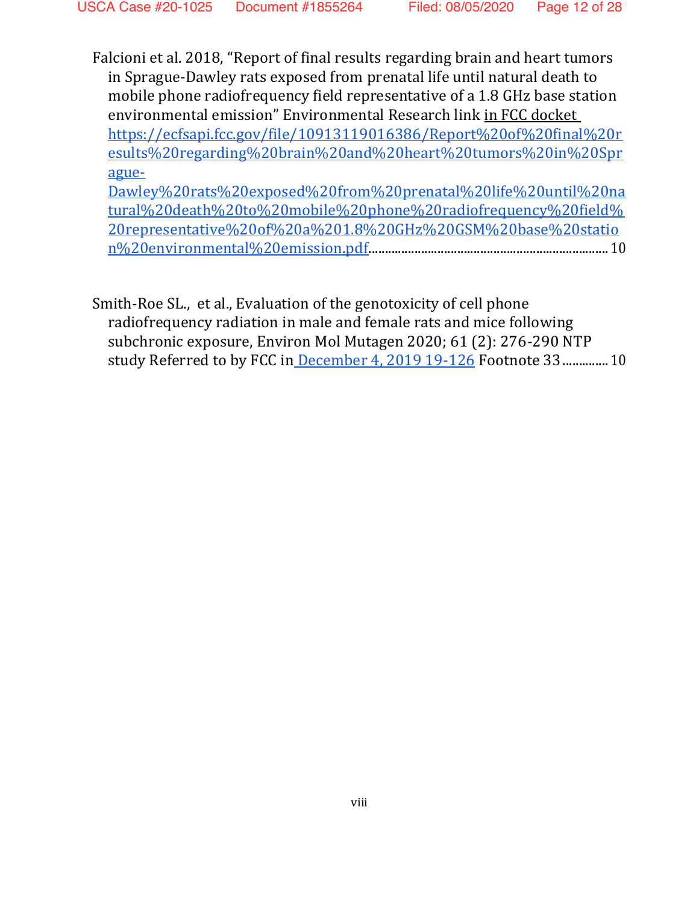Falcioni et al. 2018, "Report of final results regarding brain and heart tumors in Sprague-Dawley rats exposed from prenatal life until natural death to mobile phone radiofrequency field representative of a 1.8 GHz base station environmental emission" Environmental Research link in FCC docket [https://ecfsapi.fcc.gov/file/10913119016386/Report%20of%20final%20r](https://ecfsapi.fcc.gov/file/10913119016386/Report%20of%20final%20results%20regarding%20brain%20and%20heart%20tumors%20in%20Sprague-Dawley%20rats%20exposed%20from%20prenatal%20life%20until%20natural%20death%20to%20mobile%20phone%20radiofrequency%20field%20representative%20of%20a%201.8%20GHz%20GSM%20base%20station%20environmental%20emission.pdf) [esults%20regarding%20brain%20and%20heart%20tumors%20in%20Spr](https://ecfsapi.fcc.gov/file/10913119016386/Report%20of%20final%20results%20regarding%20brain%20and%20heart%20tumors%20in%20Sprague-Dawley%20rats%20exposed%20from%20prenatal%20life%20until%20natural%20death%20to%20mobile%20phone%20radiofrequency%20field%20representative%20of%20a%201.8%20GHz%20GSM%20base%20station%20environmental%20emission.pdf) [ague-](https://ecfsapi.fcc.gov/file/10913119016386/Report%20of%20final%20results%20regarding%20brain%20and%20heart%20tumors%20in%20Sprague-Dawley%20rats%20exposed%20from%20prenatal%20life%20until%20natural%20death%20to%20mobile%20phone%20radiofrequency%20field%20representative%20of%20a%201.8%20GHz%20GSM%20base%20station%20environmental%20emission.pdf)

[Dawley%20rats%20exposed%20from%20prenatal%20life%20until%20na](https://ecfsapi.fcc.gov/file/10913119016386/Report%20of%20final%20results%20regarding%20brain%20and%20heart%20tumors%20in%20Sprague-Dawley%20rats%20exposed%20from%20prenatal%20life%20until%20natural%20death%20to%20mobile%20phone%20radiofrequency%20field%20representative%20of%20a%201.8%20GHz%20GSM%20base%20station%20environmental%20emission.pdf) [tural%20death%20to%20mobile%20phone%20radiofrequency%20field%](https://ecfsapi.fcc.gov/file/10913119016386/Report%20of%20final%20results%20regarding%20brain%20and%20heart%20tumors%20in%20Sprague-Dawley%20rats%20exposed%20from%20prenatal%20life%20until%20natural%20death%20to%20mobile%20phone%20radiofrequency%20field%20representative%20of%20a%201.8%20GHz%20GSM%20base%20station%20environmental%20emission.pdf) [20representative%20of%20a%201.8%20GHz%20GSM%20base%20statio](https://ecfsapi.fcc.gov/file/10913119016386/Report%20of%20final%20results%20regarding%20brain%20and%20heart%20tumors%20in%20Sprague-Dawley%20rats%20exposed%20from%20prenatal%20life%20until%20natural%20death%20to%20mobile%20phone%20radiofrequency%20field%20representative%20of%20a%201.8%20GHz%20GSM%20base%20station%20environmental%20emission.pdf) [n%20environmental%20emission.pdf.](https://ecfsapi.fcc.gov/file/10913119016386/Report%20of%20final%20results%20regarding%20brain%20and%20heart%20tumors%20in%20Sprague-Dawley%20rats%20exposed%20from%20prenatal%20life%20until%20natural%20death%20to%20mobile%20phone%20radiofrequency%20field%20representative%20of%20a%201.8%20GHz%20GSM%20base%20station%20environmental%20emission.pdf)........................................................................10

Smith-Roe SL., et al., Evaluation of the genotoxicity of cell phone radiofrequency radiation in male and female rats and mice following subchronic exposure, Environ Mol Mutagen 2020; 61 (2): 276-290 NTP study Referred to by FCC in [December 4, 2019 19-126](https://docs.fcc.gov/public/attachments/FCC-19-126A1.pdf) Footnote 33..............10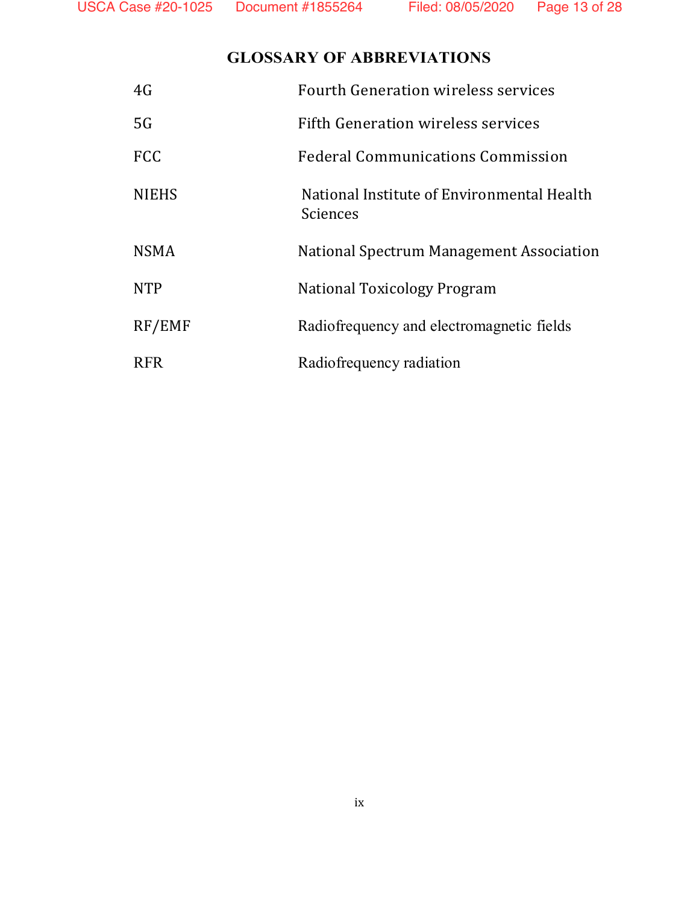## **GLOSSARY OF ABBREVIATIONS**

| 4G           | <b>Fourth Generation wireless services</b>             |
|--------------|--------------------------------------------------------|
| 5G           | <b>Fifth Generation wireless services</b>              |
| <b>FCC</b>   | Federal Communications Commission                      |
| <b>NIEHS</b> | National Institute of Environmental Health<br>Sciences |
| <b>NSMA</b>  | National Spectrum Management Association               |
| <b>NTP</b>   | National Toxicology Program                            |
| RF/EMF       | Radiofrequency and electromagnetic fields              |
| <b>RFR</b>   | Radiofrequency radiation                               |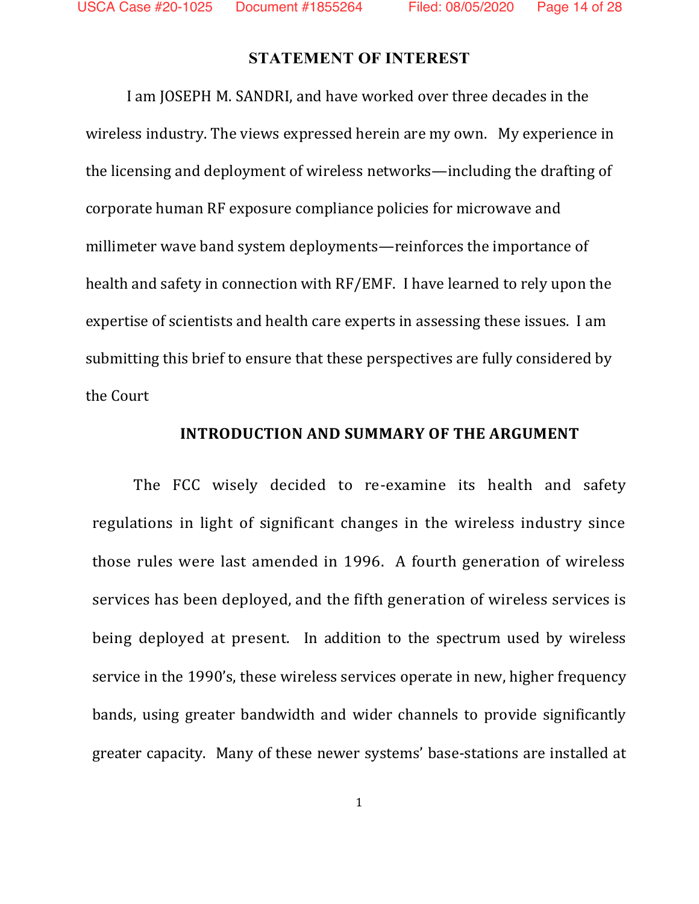### **STATEMENT OF INTEREST**

I am JOSEPH M. SANDRI, and have worked over three decades in the wireless industry. The views expressed herein are my own. My experience in the licensing and deployment of wireless networks—including the drafting of corporate human RF exposure compliance policies for microwave and millimeter wave band system deployments—reinforces the importance of health and safety in connection with RF/EMF. I have learned to rely upon the expertise of scientists and health care experts in assessing these issues. I am submitting this brief to ensure that these perspectives are fully considered by the Court

#### **INTRODUCTION AND SUMMARY OF THE ARGUMENT**

The FCC wisely decided to re-examine its health and safety regulations in light of significant changes in the wireless industry since those rules were last amended in 1996. A fourth generation of wireless services has been deployed, and the fifth generation of wireless services is being deployed at present. In addition to the spectrum used by wireless service in the 1990's, these wireless services operate in new, higher frequency bands, using greater bandwidth and wider channels to provide significantly greater capacity. Many of these newer systems' base-stations are installed at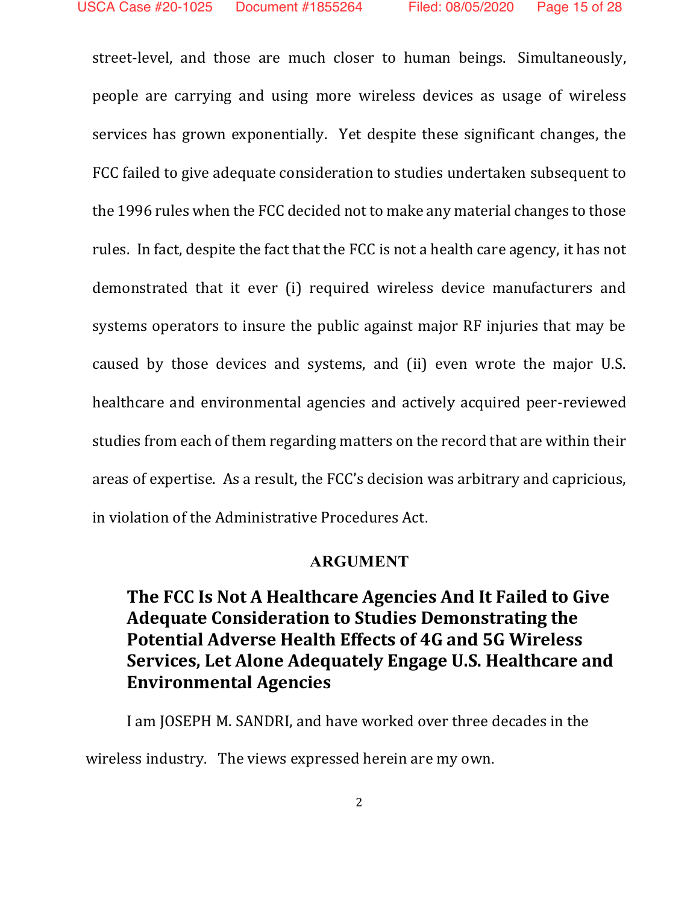street-level, and those are much closer to human beings. Simultaneously, people are carrying and using more wireless devices as usage of wireless services has grown exponentially. Yet despite these significant changes, the FCC failed to give adequate consideration to studies undertaken subsequent to the 1996 rules when the FCC decided not to make any material changes to those rules. In fact, despite the fact that the FCC is not a health care agency, it has not demonstrated that it ever (i) required wireless device manufacturers and systems operators to insure the public against major RF injuries that may be caused by those devices and systems, and (ii) even wrote the major U.S. healthcare and environmental agencies and actively acquired peer-reviewed studies from each of them regarding matters on the record that are within their areas of expertise. As a result, the FCC's decision was arbitrary and capricious, in violation of the Administrative Procedures Act.

#### **ARGUMENT**

# **The FCC Is Not A Healthcare Agencies And It Failed to Give Adequate Consideration to Studies Demonstrating the Potential Adverse Health Effects of 4G and 5G Wireless Services, Let Alone Adequately Engage U.S. Healthcare and Environmental Agencies**

I am JOSEPH M. SANDRI, and have worked over three decades in the wireless industry. The views expressed herein are my own.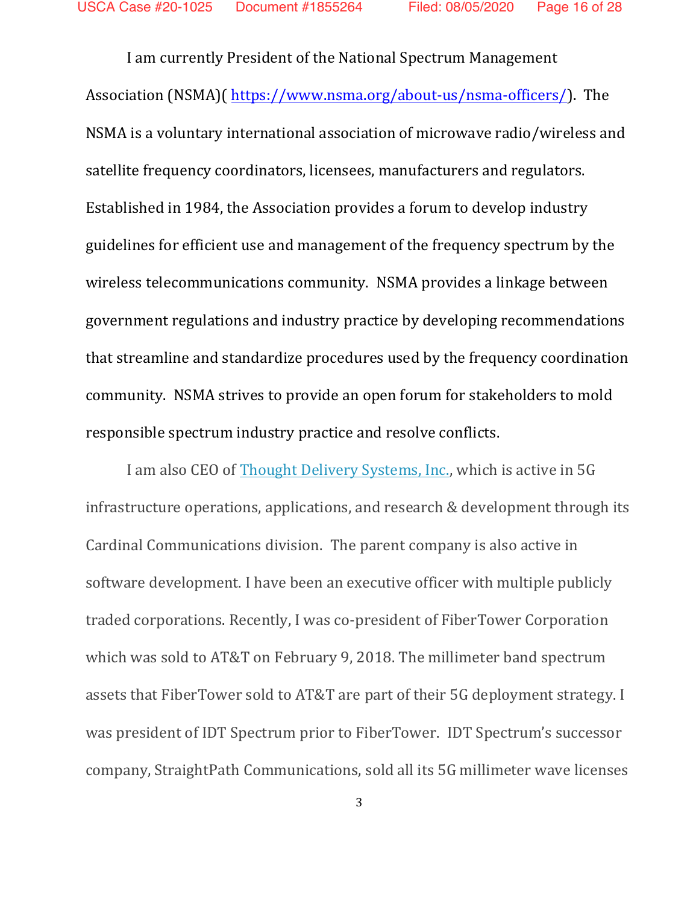I am currently President of the National Spectrum Management Association (NSMA)( [https://www.nsma.org/about-us/nsma-officers/\)](https://nam04.safelinks.protection.outlook.com/?url=https%3A%2F%2Fwww.nsma.org%2Fabout-us%2Fnsma-officers%2F&data=02%7C01%7C%7Ca9baa5a8892d48a1eadd08d8395b8b7a%7C84df9e7fe9f640afb435aaaaaaaaaaaa%7C1%7C0%7C637322412637097807&sdata=E5fQvwv7Q5p9ThHqwxUQa3Pv2TewoSA967qFk%2Fq3drA%3D&reserved=0). The NSMA is a voluntary international association of microwave radio/wireless and satellite frequency coordinators, licensees, manufacturers and regulators. Established in 1984, the Association provides a forum to develop industry guidelines for efficient use and management of the frequency spectrum by the wireless telecommunications community. NSMA provides a linkage between government regulations and industry practice by developing recommendations that streamline and standardize procedures used by the frequency coordination community. NSMA strives to provide an open forum for stakeholders to mold responsible spectrum industry practice and resolve conflicts.

I am also CEO of [Thought Delivery Systems, Inc.,](https://nam04.safelinks.protection.outlook.com/?url=http%3A%2F%2Fwww.thoughtdelivery.com%2F&data=02%7C01%7C%7Ca9baa5a8892d48a1eadd08d8395b8b7a%7C84df9e7fe9f640afb435aaaaaaaaaaaa%7C1%7C0%7C637322412637087827&sdata=b3X2jhD1vnYOzNtIrLQu%2Fj7%2B4RxuN2KeIY6qUsLsBhE%3D&reserved=0) which is active in 5G infrastructure operations, applications, and research & development through its Cardinal Communications division. The parent company is also active in software development. I have been an executive officer with multiple publicly traded corporations. Recently, I was co-president of FiberTower Corporation which was sold to AT&T on February 9, 2018. The millimeter band spectrum assets that FiberTower sold to AT&T are part of their 5G deployment strategy. I was president of IDT Spectrum prior to FiberTower. IDT Spectrum's successor company, StraightPath Communications, sold all its 5G millimeter wave licenses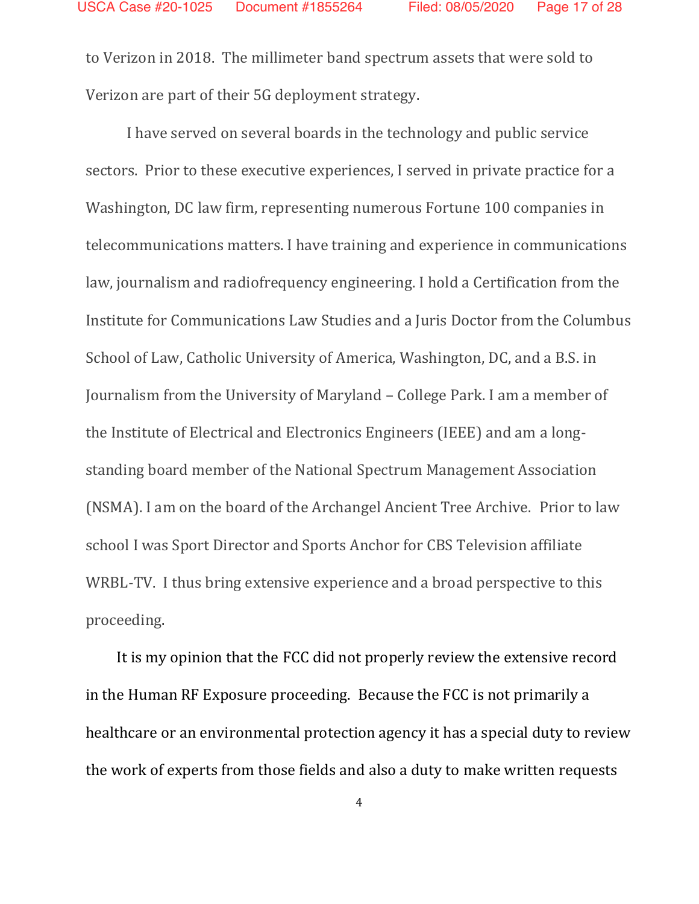to Verizon in 2018. The millimeter band spectrum assets that were sold to Verizon are part of their 5G deployment strategy.

I have served on several boards in the technology and public service sectors. Prior to these executive experiences, I served in private practice for a Washington, DC law firm, representing numerous Fortune 100 companies in telecommunications matters. I have training and experience in communications law, journalism and radiofrequency engineering. I hold a Certification from the Institute for Communications Law Studies and a Juris Doctor from the Columbus School of Law, Catholic University of America, Washington, DC, and a B.S. in Journalism from the University of Maryland – College Park. I am a member of the Institute of Electrical and Electronics Engineers (IEEE) and am a longstanding board member of the National Spectrum Management Association (NSMA). I am on the board of the Archangel Ancient Tree Archive. Prior to law school I was Sport Director and Sports Anchor for CBS Television affiliate WRBL-TV. I thus bring extensive experience and a broad perspective to this proceeding.

It is my opinion that the FCC did not properly review the extensive record in the Human RF Exposure proceeding. Because the FCC is not primarily a healthcare or an environmental protection agency it has a special duty to review the work of experts from those fields and also a duty to make written requests

4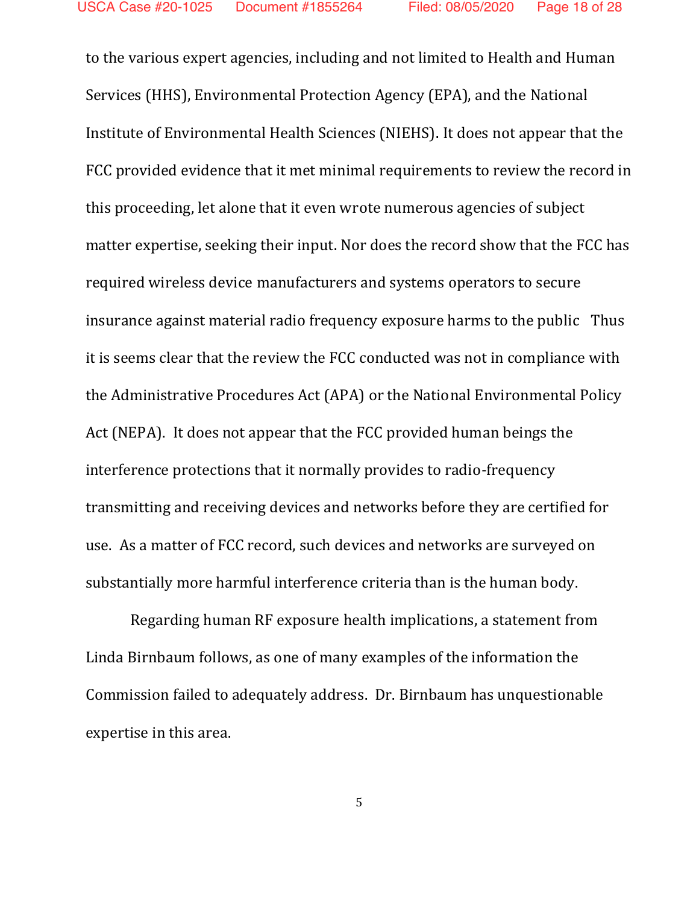to the various expert agencies, including and not limited to Health and Human Services (HHS), Environmental Protection Agency (EPA), and the National Institute of Environmental Health Sciences (NIEHS). It does not appear that the FCC provided evidence that it met minimal requirements to review the record in this proceeding, let alone that it even wrote numerous agencies of subject matter expertise, seeking their input. Nor does the record show that the FCC has required wireless device manufacturers and systems operators to secure insurance against material radio frequency exposure harms to the public Thus it is seems clear that the review the FCC conducted was not in compliance with the Administrative Procedures Act (APA) or the National Environmental Policy Act (NEPA). It does not appear that the FCC provided human beings the interference protections that it normally provides to radio-frequency transmitting and receiving devices and networks before they are certified for use. As a matter of FCC record, such devices and networks are surveyed on substantially more harmful interference criteria than is the human body.

Regarding human RF exposure health implications, a statement from Linda Birnbaum follows, as one of many examples of the information the Commission failed to adequately address. Dr. Birnbaum has unquestionable expertise in this area.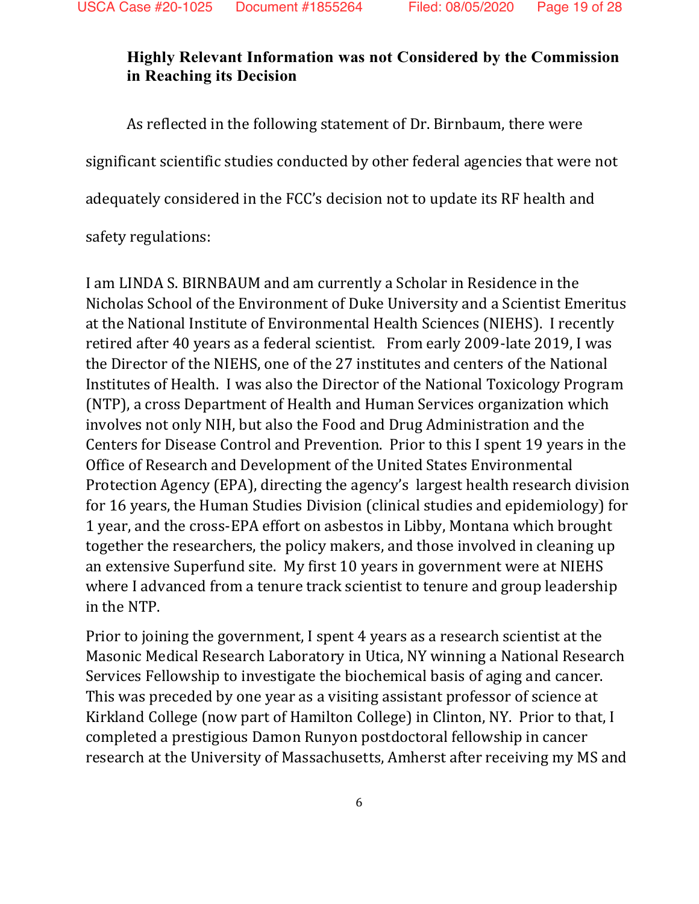### **Highly Relevant Information was not Considered by the Commission in Reaching its Decision**

As reflected in the following statement of Dr. Birnbaum, there were significant scientific studies conducted by other federal agencies that were not adequately considered in the FCC's decision not to update its RF health and

safety regulations:

I am LINDA S. BIRNBAUM and am currently a Scholar in Residence in the Nicholas School of the Environment of Duke University and a Scientist Emeritus at the National Institute of Environmental Health Sciences (NIEHS). I recently retired after 40 years as a federal scientist. From early 2009-late 2019, I was the Director of the NIEHS, one of the 27 institutes and centers of the National Institutes of Health. I was also the Director of the National Toxicology Program (NTP), a cross Department of Health and Human Services organization which involves not only NIH, but also the Food and Drug Administration and the Centers for Disease Control and Prevention. Prior to this I spent 19 years in the Office of Research and Development of the United States Environmental Protection Agency (EPA), directing the agency's largest health research division for 16 years, the Human Studies Division (clinical studies and epidemiology) for 1 year, and the cross-EPA effort on asbestos in Libby, Montana which brought together the researchers, the policy makers, and those involved in cleaning up an extensive Superfund site. My first 10 years in government were at NIEHS where I advanced from a tenure track scientist to tenure and group leadership in the NTP.

Prior to joining the government, I spent 4 years as a research scientist at the Masonic Medical Research Laboratory in Utica, NY winning a National Research Services Fellowship to investigate the biochemical basis of aging and cancer. This was preceded by one year as a visiting assistant professor of science at Kirkland College (now part of Hamilton College) in Clinton, NY. Prior to that, I completed a prestigious Damon Runyon postdoctoral fellowship in cancer research at the University of Massachusetts, Amherst after receiving my MS and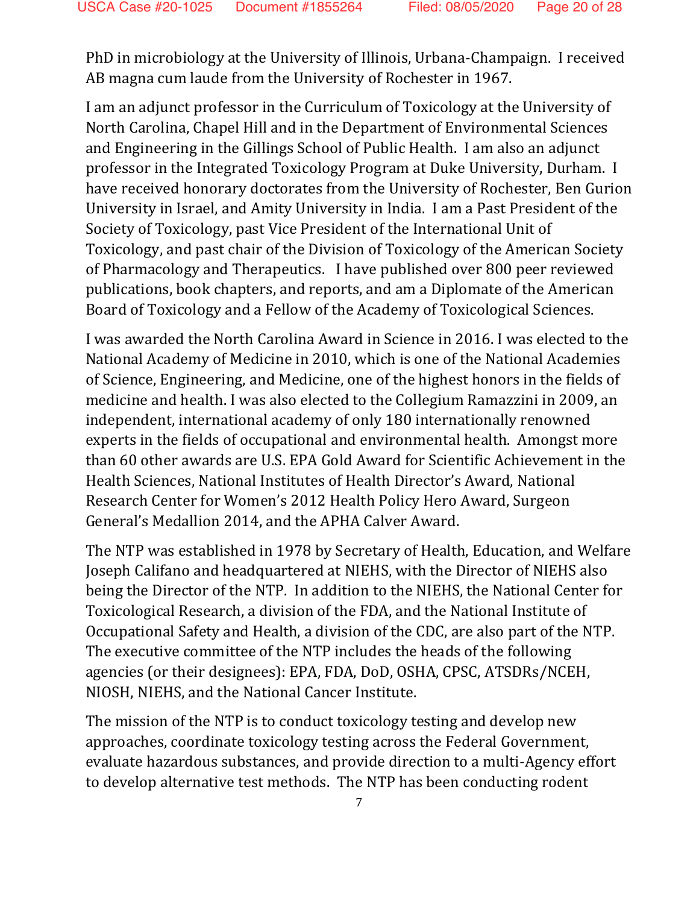PhD in microbiology at the University of Illinois, Urbana-Champaign. I received AB magna cum laude from the University of Rochester in 1967.

I am an adjunct professor in the Curriculum of Toxicology at the University of North Carolina, Chapel Hill and in the Department of Environmental Sciences and Engineering in the Gillings School of Public Health. I am also an adjunct professor in the Integrated Toxicology Program at Duke University, Durham. I have received honorary doctorates from the University of Rochester, Ben Gurion University in Israel, and Amity University in India. I am a Past President of the Society of Toxicology, past Vice President of the International Unit of Toxicology, and past chair of the Division of Toxicology of the American Society of Pharmacology and Therapeutics. I have published over 800 peer reviewed publications, book chapters, and reports, and am a Diplomate of the American Board of Toxicology and a Fellow of the Academy of Toxicological Sciences.

I was awarded the North Carolina Award in Science in 2016. I was elected to the National Academy of Medicine in 2010, which is one of the National Academies of Science, Engineering, and Medicine, one of the highest honors in the fields of medicine and health. I was also elected to the Collegium Ramazzini in 2009, an independent, international academy of only 180 internationally renowned experts in the fields of occupational and environmental health. Amongst more than 60 other awards are U.S. EPA Gold Award for Scientific Achievement in the Health Sciences, National Institutes of Health Director's Award, National Research Center for Women's 2012 Health Policy Hero Award, Surgeon General's Medallion 2014, and the APHA Calver Award.

The NTP was established in 1978 by Secretary of Health, Education, and Welfare Joseph Califano and headquartered at NIEHS, with the Director of NIEHS also being the Director of the NTP. In addition to the NIEHS, the National Center for Toxicological Research, a division of the FDA, and the National Institute of Occupational Safety and Health, a division of the CDC, are also part of the NTP. The executive committee of the NTP includes the heads of the following agencies (or their designees): EPA, FDA, DoD, OSHA, CPSC, ATSDRs/NCEH, NIOSH, NIEHS, and the National Cancer Institute.

The mission of the NTP is to conduct toxicology testing and develop new approaches, coordinate toxicology testing across the Federal Government, evaluate hazardous substances, and provide direction to a multi-Agency effort to develop alternative test methods. The NTP has been conducting rodent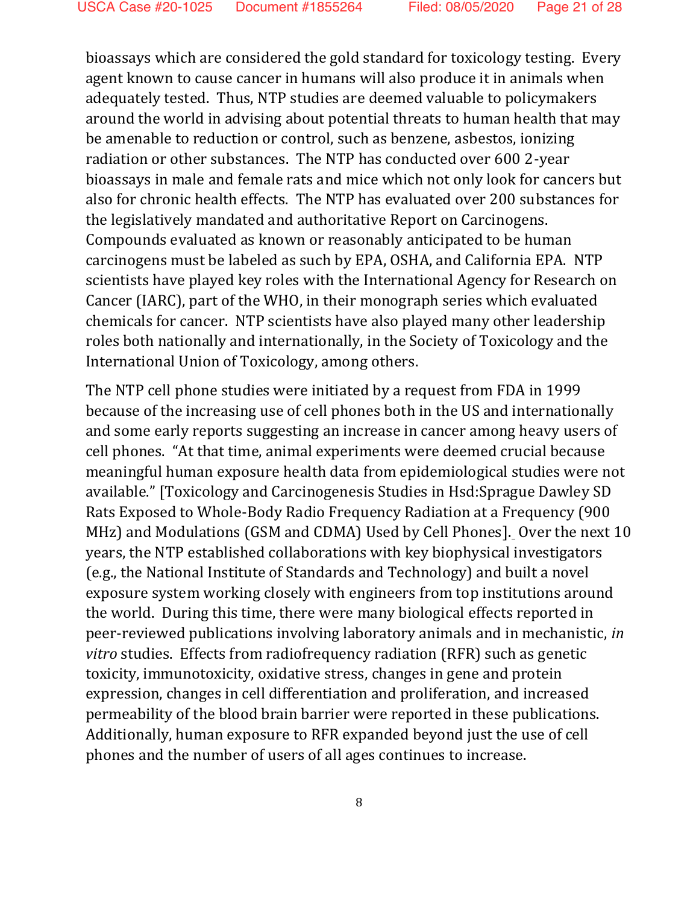bioassays which are considered the gold standard for toxicology testing. Every agent known to cause cancer in humans will also produce it in animals when adequately tested. Thus, NTP studies are deemed valuable to policymakers around the world in advising about potential threats to human health that may be amenable to reduction or control, such as benzene, asbestos, ionizing radiation or other substances. The NTP has conducted over 600 2-year bioassays in male and female rats and mice which not only look for cancers but also for chronic health effects. The NTP has evaluated over 200 substances for the legislatively mandated and authoritative Report on Carcinogens. Compounds evaluated as known or reasonably anticipated to be human carcinogens must be labeled as such by EPA, OSHA, and California EPA. NTP scientists have played key roles with the International Agency for Research on Cancer (IARC), part of the WHO, in their monograph series which evaluated chemicals for cancer. NTP scientists have also played many other leadership roles both nationally and internationally, in the Society of Toxicology and the International Union of Toxicology, among others.

The NTP cell phone studies were initiated by a request from FDA in 1999 because of the increasing use of cell phones both in the US and internationally and some early reports suggesting an increase in cancer among heavy users of cell phones. "At that time, animal experiments were deemed crucial because meaningful human exposure health data from epidemiological studies were not available." [Toxicology and Carcinogenesis Studies in Hsd:Sprague Dawley SD Rats Exposed to Whole-Body Radio Frequency Radiation at a Frequency (900 MHz) and Modulations (GSM and CDMA) Used by Cell Phones]. Over the next 10 years, the NTP established collaborations with key biophysical investigators (e.g., the National Institute of Standards and Technology) and built a novel exposure system working closely with engineers from top institutions around the world. During this time, there were many biological effects reported in peer-reviewed publications involving laboratory animals and in mechanistic, *in vitro* studies. Effects from radiofrequency radiation (RFR) such as genetic toxicity, immunotoxicity, oxidative stress, changes in gene and protein expression, changes in cell differentiation and proliferation, and increased permeability of the blood brain barrier were reported in these publications. Additionally, human exposure to RFR expanded beyond just the use of cell phones and the number of users of all ages continues to increase.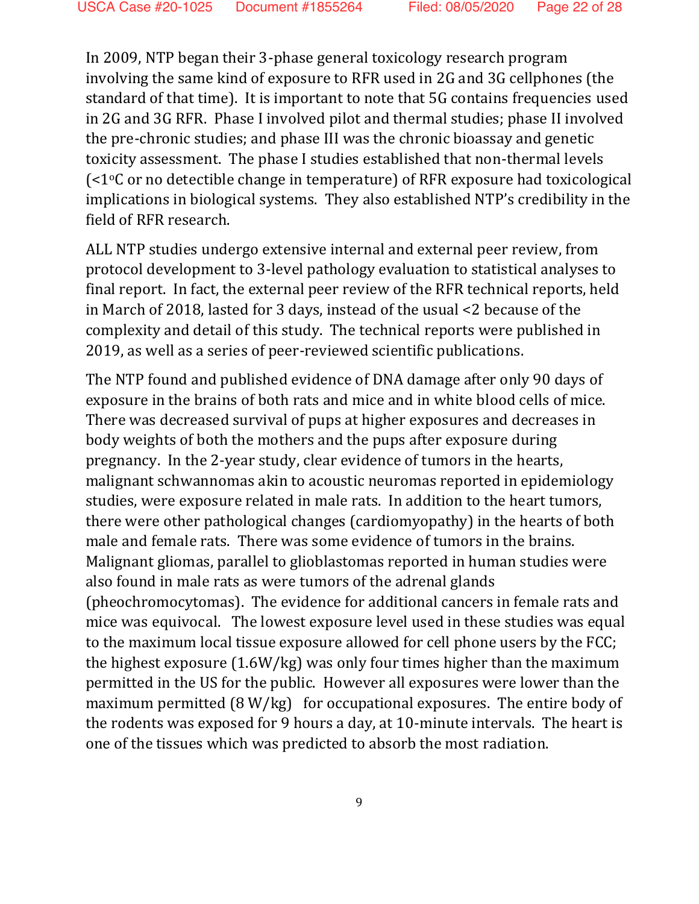In 2009, NTP began their 3-phase general toxicology research program involving the same kind of exposure to RFR used in 2G and 3G cellphones (the standard of that time). It is important to note that 5G contains frequencies used in 2G and 3G RFR. Phase I involved pilot and thermal studies; phase II involved the pre-chronic studies; and phase III was the chronic bioassay and genetic toxicity assessment. The phase I studies established that non-thermal levels (<1oC or no detectible change in temperature) of RFR exposure had toxicological implications in biological systems. They also established NTP's credibility in the field of RFR research.

ALL NTP studies undergo extensive internal and external peer review, from protocol development to 3-level pathology evaluation to statistical analyses to final report. In fact, the external peer review of the RFR technical reports, held in March of 2018, lasted for 3 days, instead of the usual <2 because of the complexity and detail of this study. The technical reports were published in 2019, as well as a series of peer-reviewed scientific publications.

The NTP found and published evidence of DNA damage after only 90 days of exposure in the brains of both rats and mice and in white blood cells of mice. There was decreased survival of pups at higher exposures and decreases in body weights of both the mothers and the pups after exposure during pregnancy. In the 2-year study, clear evidence of tumors in the hearts, malignant schwannomas akin to acoustic neuromas reported in epidemiology studies, were exposure related in male rats. In addition to the heart tumors, there were other pathological changes (cardiomyopathy) in the hearts of both male and female rats. There was some evidence of tumors in the brains. Malignant gliomas, parallel to glioblastomas reported in human studies were also found in male rats as were tumors of the adrenal glands (pheochromocytomas). The evidence for additional cancers in female rats and mice was equivocal. The lowest exposure level used in these studies was equal to the maximum local tissue exposure allowed for cell phone users by the FCC; the highest exposure (1.6W/kg) was only four times higher than the maximum permitted in the US for the public. However all exposures were lower than the maximum permitted (8 W/kg) for occupational exposures. The entire body of the rodents was exposed for 9 hours a day, at 10-minute intervals. The heart is one of the tissues which was predicted to absorb the most radiation.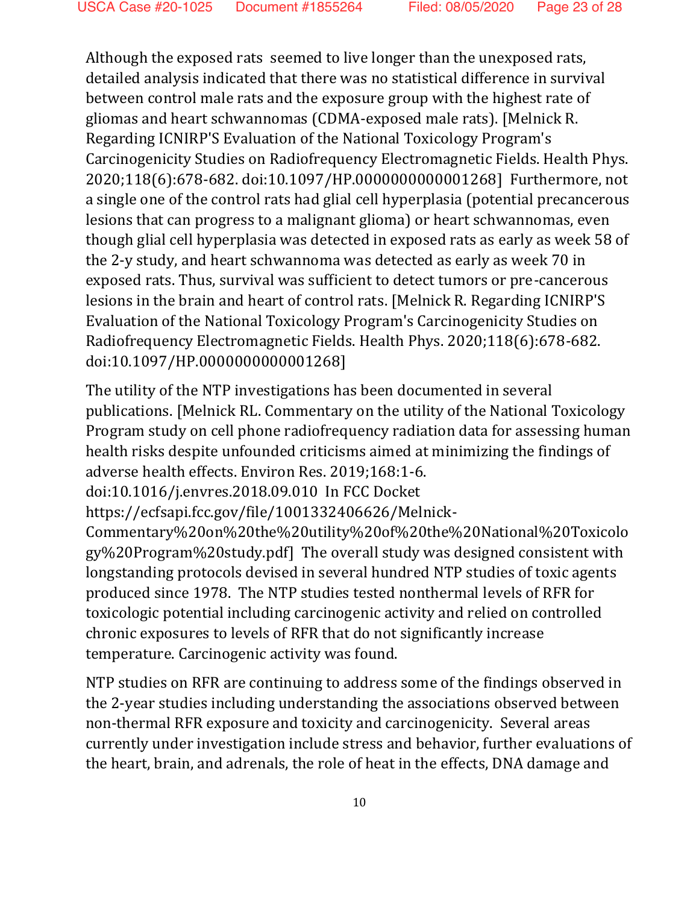Although the exposed rats seemed to live longer than the unexposed rats, detailed analysis indicated that there was no statistical difference in survival between control male rats and the exposure group with the highest rate of gliomas and heart schwannomas (CDMA-exposed male rats). [Melnick R. Regarding ICNIRP'S Evaluation of the National Toxicology Program's Carcinogenicity Studies on Radiofrequency Electromagnetic Fields. Health Phys. 2020;118(6):678-682. doi:10.1097/HP.0000000000001268] Furthermore, not a single one of the control rats had glial cell hyperplasia (potential precancerous lesions that can progress to a malignant glioma) or heart schwannomas, even though glial cell hyperplasia was detected in exposed rats as early as week 58 of the 2-y study, and heart schwannoma was detected as early as week 70 in exposed rats. Thus, survival was sufficient to detect tumors or pre-cancerous lesions in the brain and heart of control rats. [Melnick R. Regarding ICNIRP'S Evaluation of the National Toxicology Program's Carcinogenicity Studies on Radiofrequency Electromagnetic Fields. Health Phys. 2020;118(6):678-682. doi:10.1097/HP.0000000000001268]

The utility of the NTP investigations has been documented in several publications. [Melnick RL. Commentary on the utility of the National Toxicology Program study on cell phone radiofrequency radiation data for assessing human health risks despite unfounded criticisms aimed at minimizing the findings of adverse health effects. Environ Res. 2019;168:1-6.

doi:10.1016/j.envres.2018.09.010 In FCC Docket

https://ecfsapi.fcc.gov/file/1001332406626/Melnick-

Commentary%20on%20the%20utility%20of%20the%20National%20Toxicolo gy%20Program%20study.pdf] The overall study was designed consistent with longstanding protocols devised in several hundred NTP studies of toxic agents produced since 1978. The NTP studies tested nonthermal levels of RFR for toxicologic potential including carcinogenic activity and relied on controlled chronic exposures to levels of RFR that do not significantly increase temperature. Carcinogenic activity was found.

NTP studies on RFR are continuing to address some of the findings observed in the 2-year studies including understanding the associations observed between non-thermal RFR exposure and toxicity and carcinogenicity. Several areas currently under investigation include stress and behavior, further evaluations of the heart, brain, and adrenals, the role of heat in the effects, DNA damage and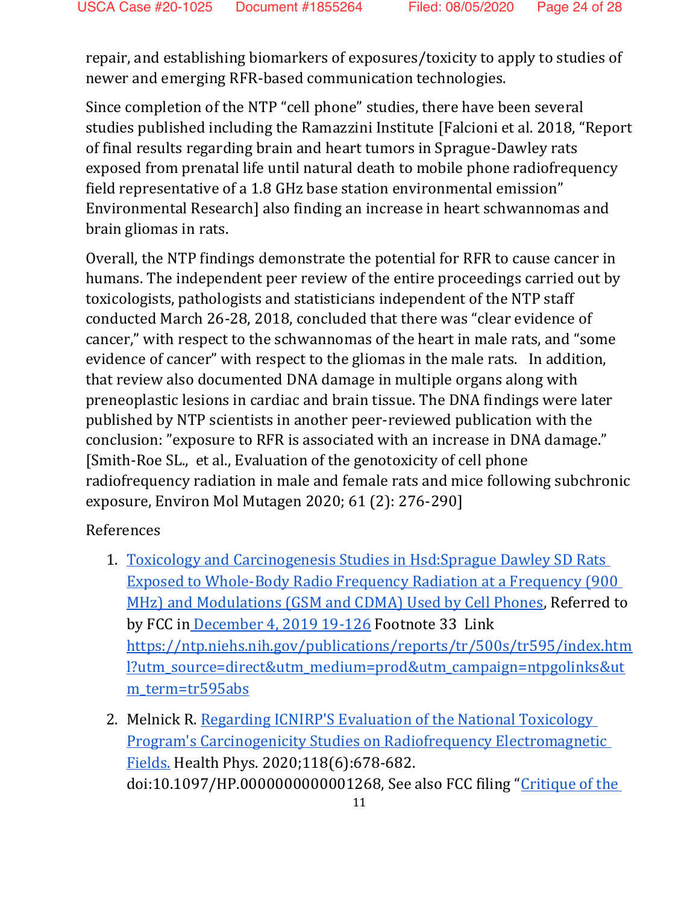repair, and establishing biomarkers of exposures/toxicity to apply to studies of newer and emerging RFR-based communication technologies.

Since completion of the NTP "cell phone" studies, there have been several studies published including the Ramazzini Institute [Falcioni et al. 2018, "Report of final results regarding brain and heart tumors in Sprague-Dawley rats exposed from prenatal life until natural death to mobile phone radiofrequency field representative of a 1.8 GHz base station environmental emission" Environmental Research] also finding an increase in heart schwannomas and brain gliomas in rats.

Overall, the NTP findings demonstrate the potential for RFR to cause cancer in humans. The independent peer review of the entire proceedings carried out by toxicologists, pathologists and statisticians independent of the NTP staff conducted March 26-28, 2018, concluded that there was "clear evidence of cancer," with respect to the schwannomas of the heart in male rats, and "some evidence of cancer" with respect to the gliomas in the male rats. In addition, that review also documented DNA damage in multiple organs along with preneoplastic lesions in cardiac and brain tissue. The DNA findings were later published by NTP scientists in another peer-reviewed publication with the conclusion: "exposure to RFR is associated with an increase in DNA damage." [Smith-Roe SL., et al., Evaluation of the genotoxicity of cell phone radiofrequency radiation in male and female rats and mice following subchronic exposure, Environ Mol Mutagen 2020; 61 (2): 276-290]

### References

- 1. [Toxicology and Carcinogenesis Studies in Hsd:Sprague Dawley SD Rats](https://ntp.niehs.nih.gov/publications/reports/tr/500s/tr595/index.html?utm_source=direct&utm_medium=prod&utm_campaign=ntpgolinks&utm_term=tr595abs)  [Exposed to Whole-Body Radio Frequency Radiation at a Frequency \(900](https://ntp.niehs.nih.gov/publications/reports/tr/500s/tr595/index.html?utm_source=direct&utm_medium=prod&utm_campaign=ntpgolinks&utm_term=tr595abs)  [MHz\) and Modulations \(GSM and CDMA\) Used by Cell Phones,](https://ntp.niehs.nih.gov/publications/reports/tr/500s/tr595/index.html?utm_source=direct&utm_medium=prod&utm_campaign=ntpgolinks&utm_term=tr595abs) Referred to by FCC in [December 4, 2019 19-126](https://docs.fcc.gov/public/attachments/FCC-19-126A1.pdf) Footnote 33 Link [https://ntp.niehs.nih.gov/publications/reports/tr/500s/tr595/index.htm](https://ntp.niehs.nih.gov/publications/reports/tr/500s/tr595/index.html?utm_source=direct&utm_medium=prod&utm_campaign=ntpgolinks&utm_term=tr595abs) [l?utm\\_source=direct&utm\\_medium=prod&utm\\_campaign=ntpgolinks&ut](https://ntp.niehs.nih.gov/publications/reports/tr/500s/tr595/index.html?utm_source=direct&utm_medium=prod&utm_campaign=ntpgolinks&utm_term=tr595abs) m term=tr595abs
- 2. Melnick R. Regarding ICNIRP'S Evaluation of the National Toxicology [Program's Carcinogenicity Studies on Radiofrequency Electromagnetic](https://pubmed.ncbi.nlm.nih.gov/32345908/)  [Fields.](https://pubmed.ncbi.nlm.nih.gov/32345908/) Health Phys. 2020;118(6):678-682. doi:10.1097/HP.0000000000001268, See also FCC filing "[Critique of the](https://ecfsapi.fcc.gov/file/107281098810734/Comments%20on%20ICNIRP%20Dr.%20Ronald%20Melnick%20%20(1).pdf)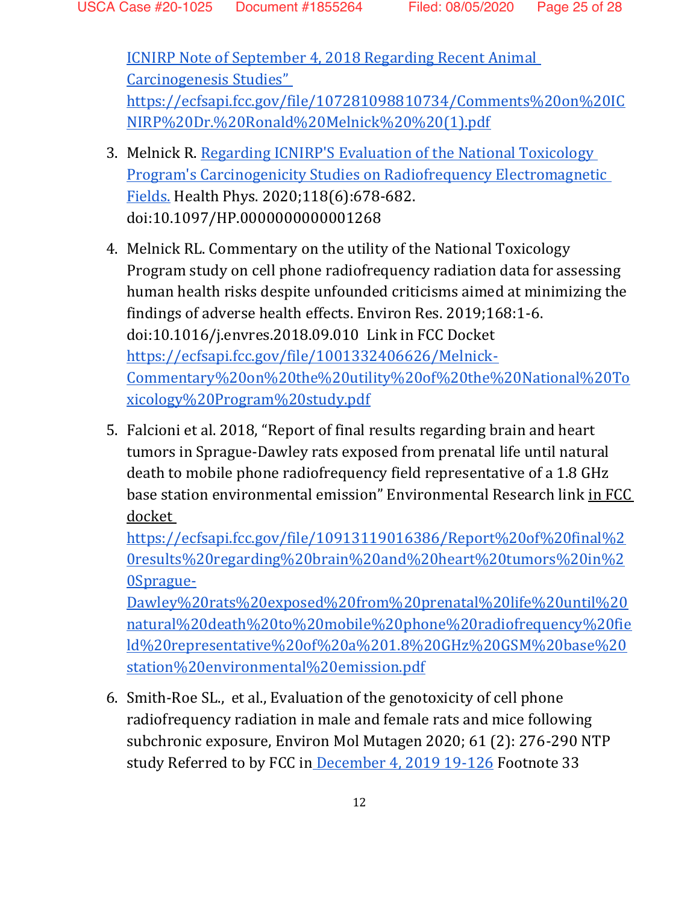[ICNIRP Note of September 4, 2018 Regarding Recent Animal](https://ecfsapi.fcc.gov/file/107281098810734/Comments%20on%20ICNIRP%20Dr.%20Ronald%20Melnick%20%20(1).pdf)  [Carcinogenesis Studies"](https://ecfsapi.fcc.gov/file/107281098810734/Comments%20on%20ICNIRP%20Dr.%20Ronald%20Melnick%20%20(1).pdf)  [https://ecfsapi.fcc.gov/file/107281098810734/Comments%20on%20IC](https://ecfsapi.fcc.gov/file/107281098810734/Comments%20on%20ICNIRP%20Dr.%20Ronald%20Melnick%20%20(1).pdf) [NIRP%20Dr.%20Ronald%20Melnick%20%20\(1\).pdf](https://ecfsapi.fcc.gov/file/107281098810734/Comments%20on%20ICNIRP%20Dr.%20Ronald%20Melnick%20%20(1).pdf)

- 3. Melnick R. [Regarding ICNIRP'S](https://pubmed.ncbi.nlm.nih.gov/32345908/) [Evaluation of the National Toxicology](https://pubmed.ncbi.nlm.nih.gov/32345908/)  [Program's Carcinogenicity Studies on Radiofrequency Electromagnetic](https://pubmed.ncbi.nlm.nih.gov/32345908/)  [Fields.](https://pubmed.ncbi.nlm.nih.gov/32345908/) Health Phys. 2020;118(6):678-682. doi:10.1097/HP.0000000000001268
- 4. Melnick RL. Commentary on the utility of the National Toxicology Program study on cell phone radiofrequency radiation data for assessing human health risks despite unfounded criticisms aimed at minimizing the findings of adverse health effects. Environ Res. 2019;168:1-6. doi:10.1016/j.envres.2018.09.010 Link in FCC Docket [https://ecfsapi.fcc.gov/file/1001332406626/Melnick-](https://ecfsapi.fcc.gov/file/1001332406626/Melnick-Commentary%20on%20the%20utility%20of%20the%20National%20Toxicology%20Program%20study.pdf)[Commentary%20on%20the%20utility%20of%20the%20National%20To](https://ecfsapi.fcc.gov/file/1001332406626/Melnick-Commentary%20on%20the%20utility%20of%20the%20National%20Toxicology%20Program%20study.pdf) [xicology%20Program%20study.pdf](https://ecfsapi.fcc.gov/file/1001332406626/Melnick-Commentary%20on%20the%20utility%20of%20the%20National%20Toxicology%20Program%20study.pdf)
- 5. Falcioni et al. 2018, "Report of final results regarding brain and heart tumors in Sprague-Dawley rats exposed from prenatal life until natural death to mobile phone radiofrequency field representative of a 1.8 GHz base station environmental emission" Environmental Research link in FCC docket

[https://ecfsapi.fcc.gov/file/10913119016386/Report%20of%20final%2](https://ecfsapi.fcc.gov/file/10913119016386/Report%20of%20final%20results%20regarding%20brain%20and%20heart%20tumors%20in%20Sprague-Dawley%20rats%20exposed%20from%20prenatal%20life%20until%20natural%20death%20to%20mobile%20phone%20radiofrequency%20field%20representative%20of%20a%201.8%20GHz%20GSM%20base%20station%20environmental%20emission.pdf) [0results%20regarding%20brain%20and%20heart%20tumors%20in%2](https://ecfsapi.fcc.gov/file/10913119016386/Report%20of%20final%20results%20regarding%20brain%20and%20heart%20tumors%20in%20Sprague-Dawley%20rats%20exposed%20from%20prenatal%20life%20until%20natural%20death%20to%20mobile%20phone%20radiofrequency%20field%20representative%20of%20a%201.8%20GHz%20GSM%20base%20station%20environmental%20emission.pdf) [0Sprague-](https://ecfsapi.fcc.gov/file/10913119016386/Report%20of%20final%20results%20regarding%20brain%20and%20heart%20tumors%20in%20Sprague-Dawley%20rats%20exposed%20from%20prenatal%20life%20until%20natural%20death%20to%20mobile%20phone%20radiofrequency%20field%20representative%20of%20a%201.8%20GHz%20GSM%20base%20station%20environmental%20emission.pdf)

[Dawley%20rats%20exposed%20from%20prenatal%20life%20until%20](https://ecfsapi.fcc.gov/file/10913119016386/Report%20of%20final%20results%20regarding%20brain%20and%20heart%20tumors%20in%20Sprague-Dawley%20rats%20exposed%20from%20prenatal%20life%20until%20natural%20death%20to%20mobile%20phone%20radiofrequency%20field%20representative%20of%20a%201.8%20GHz%20GSM%20base%20station%20environmental%20emission.pdf) [natural%20death%20to%20mobile%20phone%20radiofrequency%20fie](https://ecfsapi.fcc.gov/file/10913119016386/Report%20of%20final%20results%20regarding%20brain%20and%20heart%20tumors%20in%20Sprague-Dawley%20rats%20exposed%20from%20prenatal%20life%20until%20natural%20death%20to%20mobile%20phone%20radiofrequency%20field%20representative%20of%20a%201.8%20GHz%20GSM%20base%20station%20environmental%20emission.pdf) [ld%20representative%20of%20a%201.8%20GHz%20GSM%20base%20](https://ecfsapi.fcc.gov/file/10913119016386/Report%20of%20final%20results%20regarding%20brain%20and%20heart%20tumors%20in%20Sprague-Dawley%20rats%20exposed%20from%20prenatal%20life%20until%20natural%20death%20to%20mobile%20phone%20radiofrequency%20field%20representative%20of%20a%201.8%20GHz%20GSM%20base%20station%20environmental%20emission.pdf) [station%20environmental%20emission.pdf](https://ecfsapi.fcc.gov/file/10913119016386/Report%20of%20final%20results%20regarding%20brain%20and%20heart%20tumors%20in%20Sprague-Dawley%20rats%20exposed%20from%20prenatal%20life%20until%20natural%20death%20to%20mobile%20phone%20radiofrequency%20field%20representative%20of%20a%201.8%20GHz%20GSM%20base%20station%20environmental%20emission.pdf)

6. Smith-Roe SL., et al., Evaluation of the genotoxicity of cell phone radiofrequency radiation in male and female rats and mice following subchronic exposure, Environ Mol Mutagen 2020; 61 (2): 276-290 NTP study Referred to by FCC in [December 4, 2019 19-126](https://docs.fcc.gov/public/attachments/FCC-19-126A1.pdf) Footnote 33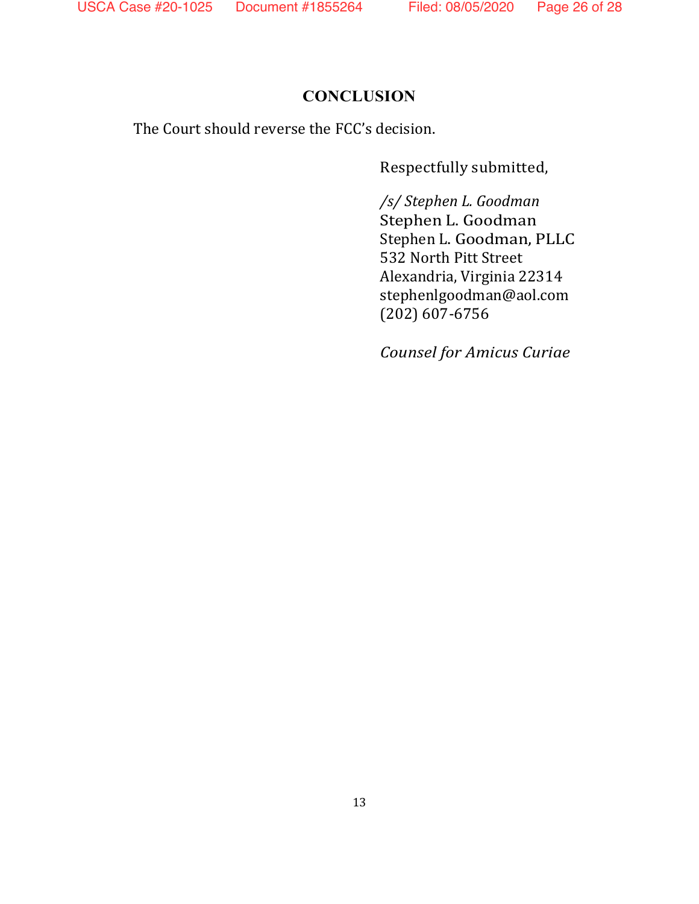### **CONCLUSION**

The Court should reverse the FCC's decision.

Respectfully submitted,

*/s/ Stephen L. Goodman* Stephen L. Goodman Stephen L. Goodman, PLLC 532 North Pitt Street Alexandria, Virginia 22314 stephenlgoodman@aol.com (202) 607-6756

*Counsel for Amicus Curiae*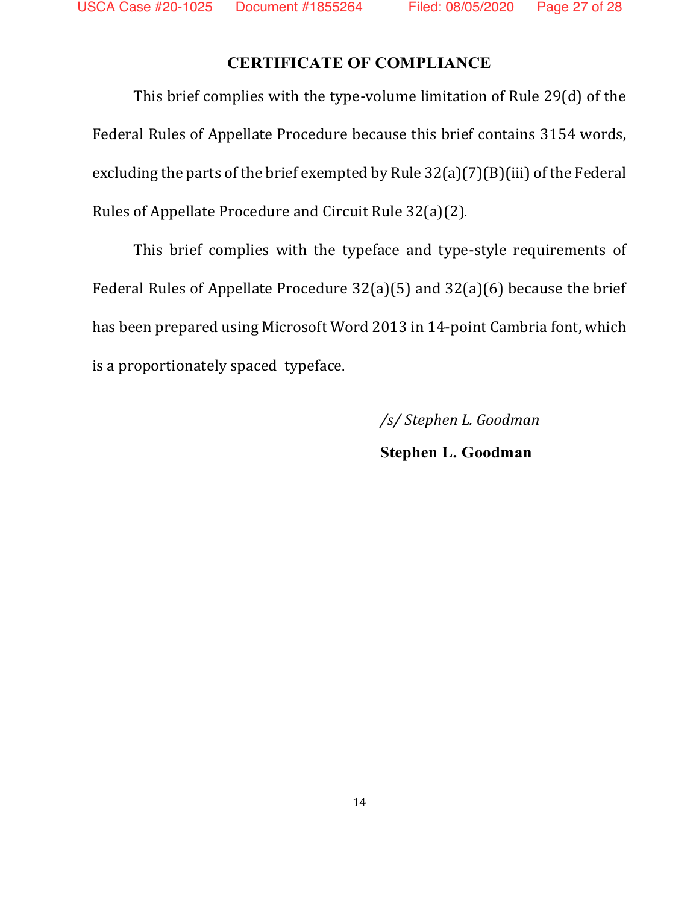### **CERTIFICATE OF COMPLIANCE**

This brief complies with the type-volume limitation of Rule 29(d) of the Federal Rules of Appellate Procedure because this brief contains 3154 words, excluding the parts of the brief exempted by Rule 32(a)(7)(B)(iii) of the Federal Rules of Appellate Procedure and Circuit Rule 32(a)(2).

This brief complies with the typeface and type-style requirements of Federal Rules of Appellate Procedure 32(a)(5) and 32(a)(6) because the brief has been prepared using Microsoft Word 2013 in 14-point Cambria font, which is a proportionately spaced typeface.

> */s/ Stephen L. Goodman* **Stephen L. Goodman**